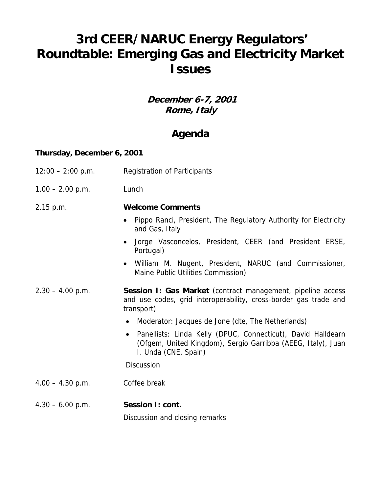# **3rd CEER/NARUC Energy Regulators' Roundtable: Emerging Gas and Electricity Market Issues**

**December 6-7, 2001 Rome, Italy** 

## **Agenda**

#### **Thursday, December 6, 2001**

| $12:00 - 2:00$ p.m. | <b>Registration of Participants</b>                                                                                                                                                                                                                                                                                                                                                  |
|---------------------|--------------------------------------------------------------------------------------------------------------------------------------------------------------------------------------------------------------------------------------------------------------------------------------------------------------------------------------------------------------------------------------|
| $1.00 - 2.00$ p.m.  | Lunch                                                                                                                                                                                                                                                                                                                                                                                |
| 2.15 p.m.           | <b>Welcome Comments</b><br>Pippo Ranci, President, The Regulatory Authority for Electricity<br>and Gas, Italy<br>Jorge Vasconcelos, President, CEER (and President ERSE,<br>$\bullet$<br>Portugal)<br>• William M. Nugent, President, NARUC (and Commissioner,<br>Maine Public Utilities Commission)                                                                                 |
| $2.30 - 4.00$ p.m.  | Session I: Gas Market (contract management, pipeline access<br>and use codes, grid interoperability, cross-border gas trade and<br>transport)<br>Moderator: Jacques de Jone (dte, The Netherlands)<br>$\bullet$<br>Panellists: Linda Kelly (DPUC, Connecticut), David Halldearn<br>$\bullet$<br>(Ofgem, United Kingdom), Sergio Garribba (AEEG, Italy), Juan<br>I. Unda (CNE, Spain) |
| $4.00 - 4.30$ p.m.  | <b>Discussion</b><br>Coffee break                                                                                                                                                                                                                                                                                                                                                    |
| $4.30 - 6.00$ p.m.  | Session I: cont.                                                                                                                                                                                                                                                                                                                                                                     |

Discussion and closing remarks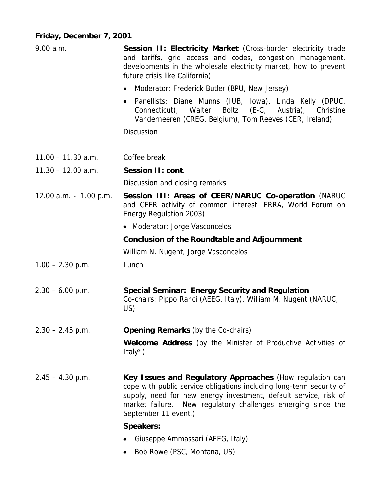### **Friday, December 7, 2001**

| 9.00 a.m.              | Session II: Electricity Market (Cross-border electricity trade<br>and tariffs, grid access and codes, congestion management,<br>developments in the wholesale electricity market, how to prevent<br>future crisis like California)                                                           |
|------------------------|----------------------------------------------------------------------------------------------------------------------------------------------------------------------------------------------------------------------------------------------------------------------------------------------|
|                        | Moderator: Frederick Butler (BPU, New Jersey)                                                                                                                                                                                                                                                |
|                        | Panellists: Diane Munns (IUB, Iowa), Linda Kelly (DPUC,<br>$\bullet$<br>Boltz (E-C, Austria), Christine<br>Connecticut), Walter<br>Vanderneeren (CREG, Belgium), Tom Reeves (CER, Ireland)                                                                                                   |
|                        | <b>Discussion</b>                                                                                                                                                                                                                                                                            |
| $11.00 - 11.30$ a.m.   | Coffee break                                                                                                                                                                                                                                                                                 |
| $11.30 - 12.00$ a.m.   | Session II: cont.                                                                                                                                                                                                                                                                            |
|                        | Discussion and closing remarks                                                                                                                                                                                                                                                               |
| 12.00 a.m. - 1.00 p.m. | Session III: Areas of CEER/NARUC Co-operation (NARUC<br>and CEER activity of common interest, ERRA, World Forum on<br>Energy Regulation 2003)                                                                                                                                                |
|                        | • Moderator: Jorge Vasconcelos                                                                                                                                                                                                                                                               |
|                        | <b>Conclusion of the Roundtable and Adjournment</b>                                                                                                                                                                                                                                          |
|                        | William N. Nugent, Jorge Vasconcelos                                                                                                                                                                                                                                                         |
| $1.00 - 2.30$ p.m.     | Lunch                                                                                                                                                                                                                                                                                        |
| $2.30 - 6.00$ p.m.     | <b>Special Seminar: Energy Security and Regulation</b><br>Co-chairs: Pippo Ranci (AEEG, Italy), William M. Nugent (NARUC,<br>US)                                                                                                                                                             |
| $2.30 - 2.45$ p.m.     | <b>Opening Remarks (by the Co-chairs)</b>                                                                                                                                                                                                                                                    |
|                        | <b>Welcome Address</b> (by the Minister of Productive Activities of<br>Italy $^{\star}$ )                                                                                                                                                                                                    |
| $2.45 - 4.30$ p.m.     | Key Issues and Regulatory Approaches (How regulation can<br>cope with public service obligations including long-term security of<br>supply, need for new energy investment, default service, risk of<br>market failure. New regulatory challenges emerging since the<br>September 11 event.) |
|                        | <b>Speakers:</b>                                                                                                                                                                                                                                                                             |
|                        | Giuseppe Ammassari (AEEG, Italy)                                                                                                                                                                                                                                                             |
|                        | $D_{ab}$ $D_{a}$ $D_{b}$ $D_{c}$ $D_{c}$ $D_{b}$ $D_{c}$ $D_{c}$ $D_{c}$ $D_{c}$ $D_{c}$ $D_{c}$ $D_{c}$ $D_{c}$ $D_{c}$ $D_{c}$ $D_{c}$ $D_{c}$ $D_{c}$ $D_{c}$ $D_{c}$ $D_{c}$ $D_{c}$ $D_{c}$ $D_{c}$ $D_{c}$ $D_{c}$ $D_{c}$ $D_{c}$ $D_{c}$ $D_{c}$ $D_{c$                              |

• Bob Rowe (PSC, Montana, US)